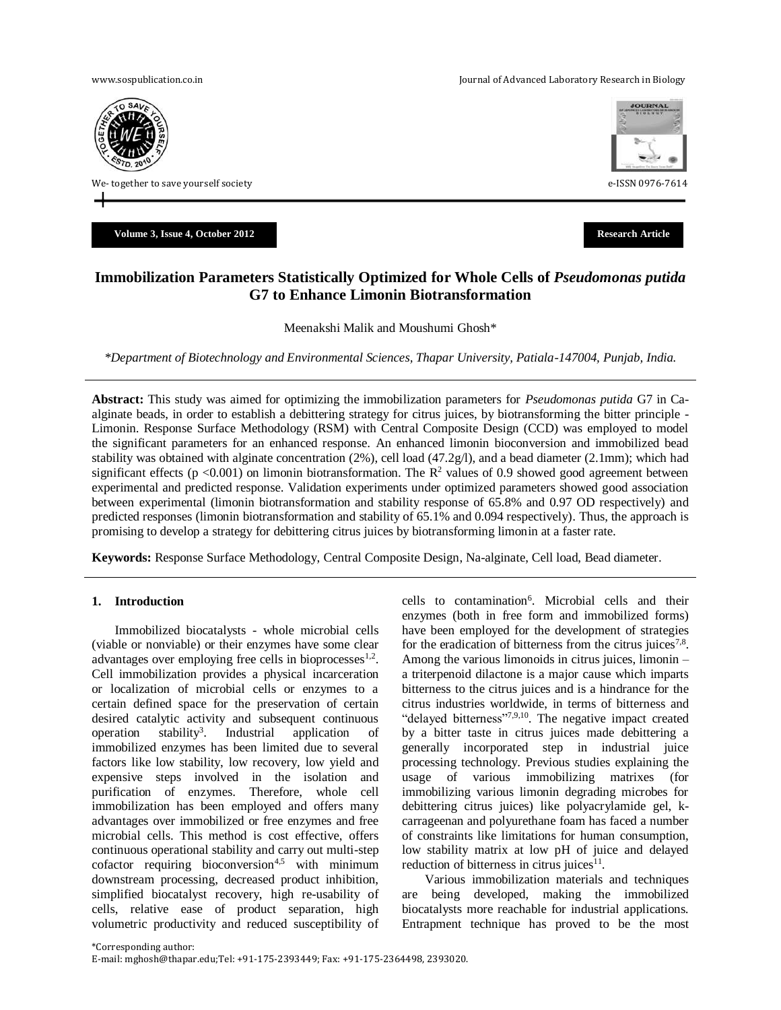[www.sospublication.co.in](http://www.sospublication.co.in/) **Variable 2018** Journal of Advanced Laboratory Research in Biology



We- together to save yourself society example of the same series of the series of the series of the series of the series of the series of the series of the series of the series of the series of the series of the series of

**Volume 3, Issue 4, October 2012 Research Article**



# **Immobilization Parameters Statistically Optimized for Whole Cells of** *Pseudomonas putida* **G7 to Enhance Limonin Biotransformation**

Meenakshi Malik and Moushumi Ghosh\*

*\*Department of Biotechnology and Environmental Sciences, Thapar University, Patiala-147004, Punjab, India.*

**Abstract:** This study was aimed for optimizing the immobilization parameters for *Pseudomonas putida* G7 in Caalginate beads, in order to establish a debittering strategy for citrus juices, by biotransforming the bitter principle - Limonin. Response Surface Methodology (RSM) with Central Composite Design (CCD) was employed to model the significant parameters for an enhanced response. An enhanced limonin bioconversion and immobilized bead stability was obtained with alginate concentration  $(2\%)$ , cell load  $(47.2g/l)$ , and a bead diameter  $(2.1mm)$ ; which had significant effects ( $p < 0.001$ ) on limonin biotransformation. The  $R<sup>2</sup>$  values of 0.9 showed good agreement between experimental and predicted response. Validation experiments under optimized parameters showed good association between experimental (limonin biotransformation and stability response of 65.8% and 0.97 OD respectively) and predicted responses (limonin biotransformation and stability of 65.1% and 0.094 respectively). Thus, the approach is promising to develop a strategy for debittering citrus juices by biotransforming limonin at a faster rate.

**Keywords:** Response Surface Methodology, Central Composite Design, Na-alginate, Cell load, Bead diameter.

# **1. Introduction**

Immobilized biocatalysts - whole microbial cells (viable or nonviable) or their enzymes have some clear advantages over employing free cells in bioprocesses<sup>1,2</sup>. Cell immobilization provides a physical incarceration or localization of microbial cells or enzymes to a certain defined space for the preservation of certain desired catalytic activity and subsequent continuous operation stability<sup>3</sup>. . Industrial application of immobilized enzymes has been limited due to several factors like low stability, low recovery, low yield and expensive steps involved in the isolation and purification of enzymes. Therefore, whole cell immobilization has been employed and offers many advantages over immobilized or free enzymes and free microbial cells. This method is cost effective, offers continuous operational stability and carry out multi-step  $cofactor$  requiring bioconversion<sup>4,5</sup> with minimum downstream processing, decreased product inhibition, simplified biocatalyst recovery, high re-usability of cells, relative ease of product separation, high volumetric productivity and reduced susceptibility of

cells to contamination<sup>6</sup>. Microbial cells and their enzymes (both in free form and immobilized forms) have been employed for the development of strategies for the eradication of bitterness from the citrus juices<sup>7,8</sup>. Among the various limonoids in citrus juices, limonin – a triterpenoid dilactone is a major cause which imparts bitterness to the citrus juices and is a hindrance for the citrus industries worldwide, in terms of bitterness and "delayed bitterness"<sup>7,9,10</sup>. The negative impact created by a bitter taste in citrus juices made debittering a generally incorporated step in industrial juice processing technology. Previous studies explaining the usage of various immobilizing matrixes (for immobilizing various limonin degrading microbes for debittering citrus juices) like polyacrylamide gel, kcarrageenan and polyurethane foam has faced a number of constraints like limitations for human consumption, low stability matrix at low pH of juice and delayed reduction of bitterness in citrus juices $11$ .

Various immobilization materials and techniques are being developed, making the immobilized biocatalysts more reachable for industrial applications. Entrapment technique has proved to be the most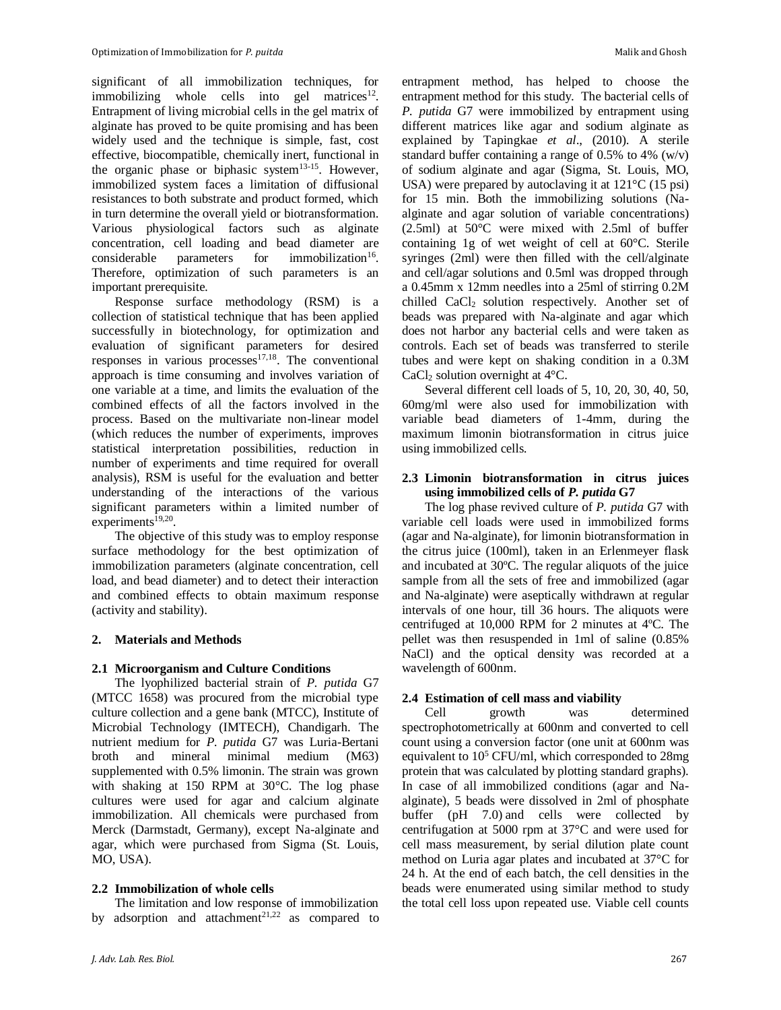significant of all immobilization techniques, for immobilizing whole cells into gel matrices<sup>12</sup>. Entrapment of living microbial cells in the gel matrix of alginate has proved to be quite promising and has been widely used and the technique is simple, fast, cost effective, biocompatible, chemically inert, functional in the organic phase or biphasic system<sup>13-15</sup>. However, immobilized system faces a limitation of diffusional resistances to both substrate and product formed, which in turn determine the overall yield or biotransformation. Various physiological factors such as alginate concentration, cell loading and bead diameter are considerable parameters for immobilization<sup>16</sup>. Therefore, optimization of such parameters is an important prerequisite.

Response surface methodology (RSM) is a collection of statistical technique that has been applied successfully in biotechnology, for optimization and evaluation of significant parameters for desired responses in various processes $17,18$ . The conventional approach is time consuming and involves variation of one variable at a time, and limits the evaluation of the combined effects of all the factors involved in the process. Based on the multivariate non-linear model (which reduces the number of experiments, improves statistical interpretation possibilities, reduction in number of experiments and time required for overall analysis), RSM is useful for the evaluation and better understanding of the interactions of the various significant parameters within a limited number of experiments<sup>19,20</sup>.

The objective of this study was to employ response surface methodology for the best optimization of immobilization parameters (alginate concentration, cell load, and bead diameter) and to detect their interaction and combined effects to obtain maximum response (activity and stability).

# **2. Materials and Methods**

# **2.1 Microorganism and Culture Conditions**

The lyophilized bacterial strain of *P. putida* G7 (MTCC 1658) was procured from the microbial type culture collection and a gene bank (MTCC), Institute of Microbial Technology (IMTECH), Chandigarh. The nutrient medium for *P. putida* G7 was Luria-Bertani broth and mineral minimal medium (M63) supplemented with 0.5% limonin. The strain was grown with shaking at 150 RPM at 30°C. The log phase cultures were used for agar and calcium alginate immobilization. All chemicals were purchased from Merck (Darmstadt, Germany), except Na-alginate and agar, which were purchased from Sigma (St. Louis, MO, USA).

# **2.2 Immobilization of whole cells**

The limitation and low response of immobilization by adsorption and attachment<sup>21,22</sup> as compared to entrapment method, has helped to choose the entrapment method for this study. The bacterial cells of *P. putida* G7 were immobilized by entrapment using different matrices like agar and sodium alginate as explained by Tapingkae *et al*., (2010). A sterile standard buffer containing a range of 0.5% to 4% (w/v) of sodium alginate and agar (Sigma, St. Louis, MO, USA) were prepared by autoclaving it at  $121^{\circ}$ C (15 psi) for 15 min. Both the immobilizing solutions (Naalginate and agar solution of variable concentrations) (2.5ml) at 50°C were mixed with 2.5ml of buffer containing 1g of wet weight of cell at 60°C. Sterile syringes (2ml) were then filled with the cell/alginate and cell/agar solutions and 0.5ml was dropped through a 0.45mm x 12mm needles into a 25ml of stirring 0.2M chilled CaCl<sub>2</sub> solution respectively. Another set of beads was prepared with Na-alginate and agar which does not harbor any bacterial cells and were taken as controls. Each set of beads was transferred to sterile tubes and were kept on shaking condition in a 0.3M CaCl<sub>2</sub> solution overnight at  $4^{\circ}$ C.

Several different cell loads of 5, 10, 20, 30, 40, 50, 60mg/ml were also used for immobilization with variable bead diameters of 1-4mm, during the maximum limonin biotransformation in citrus juice using immobilized cells.

# **2.3 Limonin biotransformation in citrus juices using immobilized cells of** *P. putida* **G7**

The log phase revived culture of *P. putida* G7 with variable cell loads were used in immobilized forms (agar and Na-alginate), for limonin biotransformation in the citrus juice (100ml), taken in an Erlenmeyer flask and incubated at 30ºC. The regular aliquots of the juice sample from all the sets of free and immobilized (agar and Na-alginate) were aseptically withdrawn at regular intervals of one hour, till 36 hours. The aliquots were centrifuged at 10,000 RPM for 2 minutes at 4ºC. The pellet was then resuspended in 1ml of saline (0.85% NaCl) and the optical density was recorded at a wavelength of 600nm.

# **2.4 Estimation of cell mass and viability**

Cell growth was determined spectrophotometrically at 600nm and converted to cell count using a conversion factor (one unit at 600nm was equivalent to 10<sup>5</sup> CFU/ml, which corresponded to 28mg protein that was calculated by plotting standard graphs). In case of all immobilized conditions (agar and Naalginate), 5 beads were dissolved in 2ml of phosphate buffer (pH 7.0) and cells were collected by centrifugation at 5000 rpm at 37°C and were used for cell mass measurement, by serial dilution plate count method on Luria agar plates and incubated at 37°C for 24 h. At the end of each batch, the cell densities in the beads were enumerated using similar method to study the total cell loss upon repeated use. Viable cell counts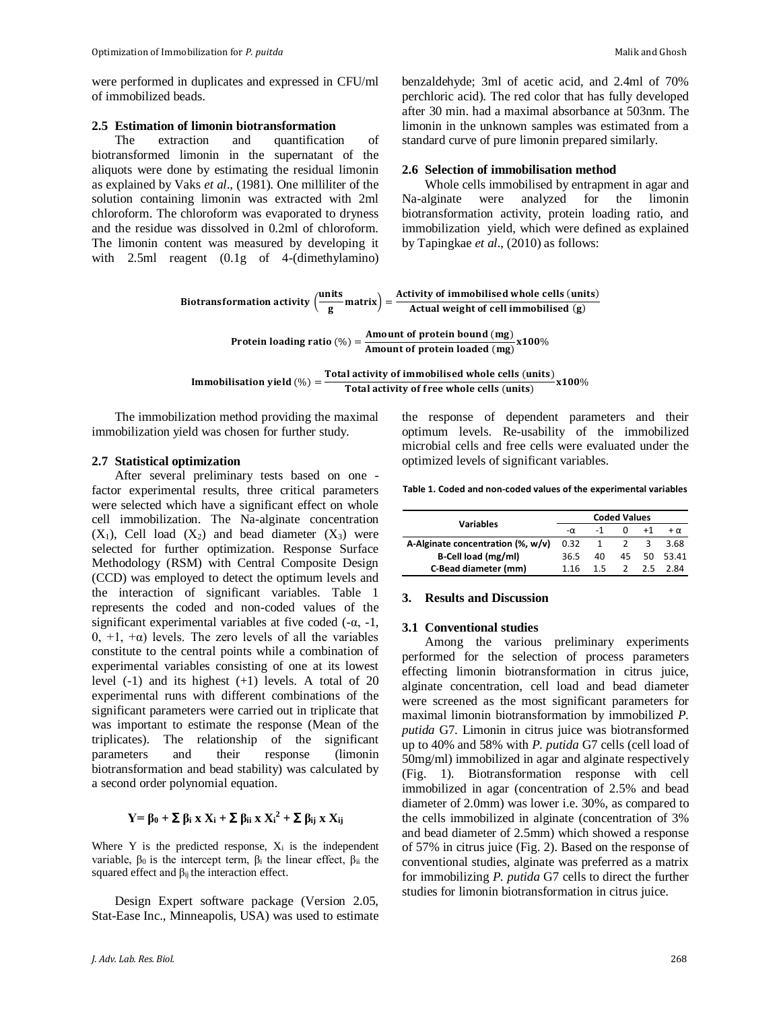were performed in duplicates and expressed in CFU/ml of immobilized beads.

# **2.5 Estimation of limonin biotransformation**

The extraction and quantification of biotransformed limonin in the supernatant of the aliquots were done by estimating the residual limonin as explained by Vaks *et al*., (1981). One milliliter of the solution containing limonin was extracted with 2ml chloroform. The chloroform was evaporated to dryness and the residue was dissolved in 0.2ml of chloroform. The limonin content was measured by developing it with 2.5ml reagent (0.1g of 4-(dimethylamino)

benzaldehyde; 3ml of acetic acid, and 2.4ml of 70% perchloric acid). The red color that has fully developed after 30 min. had a maximal absorbance at 503nm. The limonin in the unknown samples was estimated from a standard curve of pure limonin prepared similarly.

# **2.6 Selection of immobilisation method**

Whole cells immobilised by entrapment in agar and Na-alginate were analyzed for the limonin biotransformation activity, protein loading ratio, and immobilization yield, which were defined as explained by Tapingkae *et al*., (2010) as follows:

Biotransformation activity 
$$
\left(\frac{\text{units}}{\text{g}}\right) = \frac{\text{Activity of immobilised whole cells (units)}}{\text{Actual weight of cell immobilised (g)}}
$$

Protein loading ratio  $(\%) = \frac{\text{Amount of protein bound (mg)}}{\text{6.4cm}}$ Amount of protein loaded (mg) x100%

Immobilisation yield (
$$
\%
$$
) =  $\frac{\text{Total activity of immobilised whole cells (units)}}{\text{Total activity of free whole cells (units)}} \times 100\%$ 

The immobilization method providing the maximal immobilization yield was chosen for further study.

# **2.7 Statistical optimization**

After several preliminary tests based on one factor experimental results, three critical parameters were selected which have a significant effect on whole cell immobilization. The Na-alginate concentration  $(X_1)$ , Cell load  $(X_2)$  and bead diameter  $(X_3)$  were selected for further optimization. Response Surface Methodology (RSM) with Central Composite Design (CCD) was employed to detect the optimum levels and the interaction of significant variables. Table 1 represents the coded and non-coded values of the significant experimental variables at five coded  $(-\alpha, -1)$ , 0, +1, +α) levels. The zero levels of all the variables constitute to the central points while a combination of experimental variables consisting of one at its lowest level (-1) and its highest (+1) levels. A total of 20 experimental runs with different combinations of the significant parameters were carried out in triplicate that was important to estimate the response (Mean of the triplicates). The relationship of the significant parameters and their response (limonin biotransformation and bead stability) was calculated by a second order polynomial equation.

# **Y** =  $β_0$  +  $Σ$   $β_i$  **x**  $X_i$  +  $Σ$   $β_{ii}$  **x**  $X_i^2$  +  $Σ$   $β_{ij}$  **x**  $X_{ij}$

Where Y is the predicted response,  $X_i$  is the independent variable,  $β_0$  is the intercept term,  $β_i$  the linear effect,  $β_{ii}$  the squared effect and  $\beta_{ii}$  the interaction effect.

Design Expert software package (Version 2.05, Stat-Ease Inc., Minneapolis, USA) was used to estimate

*J. Adv. Lab. Res. Biol.* 268

the response of dependent parameters and their optimum levels. Re-usability of the immobilized microbial cells and free cells were evaluated under the optimized levels of significant variables.

#### **Table 1. Coded and non-coded values of the experimental variables**

|                                   | <b>Coded Values</b> |    |               |      |             |  |
|-----------------------------------|---------------------|----|---------------|------|-------------|--|
| Variables                         | $-\alpha$           |    | 0             | $+1$ | $+ \alpha$  |  |
| A-Alginate concentration (%, w/v) | 0.32                |    |               |      | 3.68        |  |
| B-Cell load (mg/ml)               | 36.5                | 40 |               |      | 45 50 53.41 |  |
| C-Bead diameter (mm)              | 1 1 6               | 15 | $\mathcal{L}$ | 2.5  | 2 R.A       |  |

### **3. Results and Discussion**

#### **3.1 Conventional studies**

Among the various preliminary experiments performed for the selection of process parameters effecting limonin biotransformation in citrus juice, alginate concentration, cell load and bead diameter were screened as the most significant parameters for maximal limonin biotransformation by immobilized *P. putida* G7. Limonin in citrus juice was biotransformed up to 40% and 58% with *P. putida* G7 cells (cell load of 50mg/ml) immobilized in agar and alginate respectively (Fig. 1). Biotransformation response with cell immobilized in agar (concentration of 2.5% and bead diameter of 2.0mm) was lower i.e. 30%, as compared to the cells immobilized in alginate (concentration of 3% and bead diameter of 2.5mm) which showed a response of 57% in citrus juice (Fig. 2). Based on the response of conventional studies, alginate was preferred as a matrix for immobilizing *P. putida* G7 cells to direct the further studies for limonin biotransformation in citrus juice.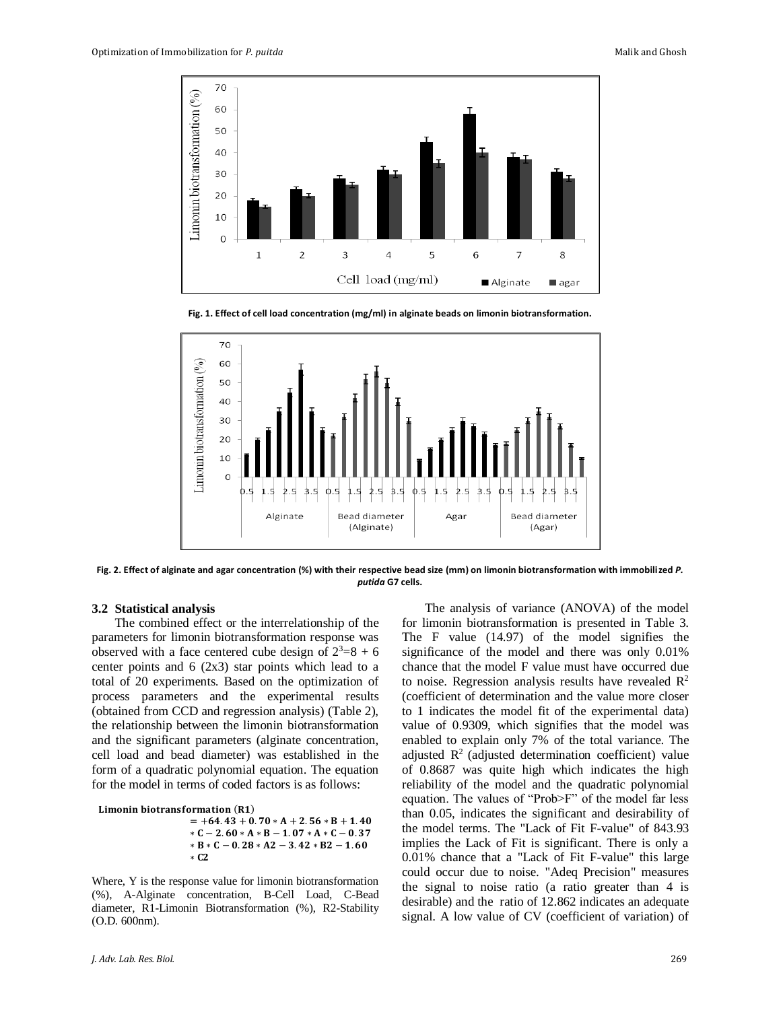

**Fig. 1. Effect of cell load concentration (mg/ml) in alginate beads on limonin biotransformation.**



**Fig. 2. Effect of alginate and agar concentration (%) with their respective bead size (mm) on limonin biotransformation with immobilized** *P. putida* **G7 cells.**

## **3.2 Statistical analysis**

The combined effect or the interrelationship of the parameters for limonin biotransformation response was observed with a face centered cube design of  $2^3=8+6$ center points and  $6$  (2x3) star points which lead to a total of 20 experiments. Based on the optimization of process parameters and the experimental results (obtained from CCD and regression analysis) (Table 2), the relationship between the limonin biotransformation and the significant parameters (alginate concentration, cell load and bead diameter) was established in the form of a quadratic polynomial equation. The equation for the model in terms of coded factors is as follows:

```
Limonin biotransformation (R1)
       = +64.43 + 0.70 * A + 2.56 * B + 1.40* C - 2.60 * A * B - 1.07 * A * C - 0.37* B * C - 0.28 * A2 - 3.42 * B2 - 1.60∗
```
Where, Y is the response value for limonin biotransformation (%), A-Alginate concentration, B-Cell Load, C-Bead diameter, R1-Limonin Biotransformation (%), R2-Stability (O.D. 600nm).

The analysis of variance (ANOVA) of the model for limonin biotransformation is presented in Table 3. The F value (14.97) of the model signifies the significance of the model and there was only 0.01% chance that the model F value must have occurred due to noise. Regression analysis results have revealed  $\mathbb{R}^2$ (coefficient of determination and the value more closer to 1 indicates the model fit of the experimental data) value of 0.9309, which signifies that the model was enabled to explain only 7% of the total variance. The adjusted  $\mathbb{R}^2$  (adjusted determination coefficient) value of 0.8687 was quite high which indicates the high reliability of the model and the quadratic polynomial equation. The values of "Prob>F" of the model far less than 0.05, indicates the significant and desirability of the model terms. The "Lack of Fit F-value" of 843.93 implies the Lack of Fit is significant. There is only a 0.01% chance that a "Lack of Fit F-value" this large could occur due to noise. "Adeq Precision" measures the signal to noise ratio (a ratio greater than 4 is desirable) and the ratio of 12.862 indicates an adequate signal. A low value of CV (coefficient of variation) of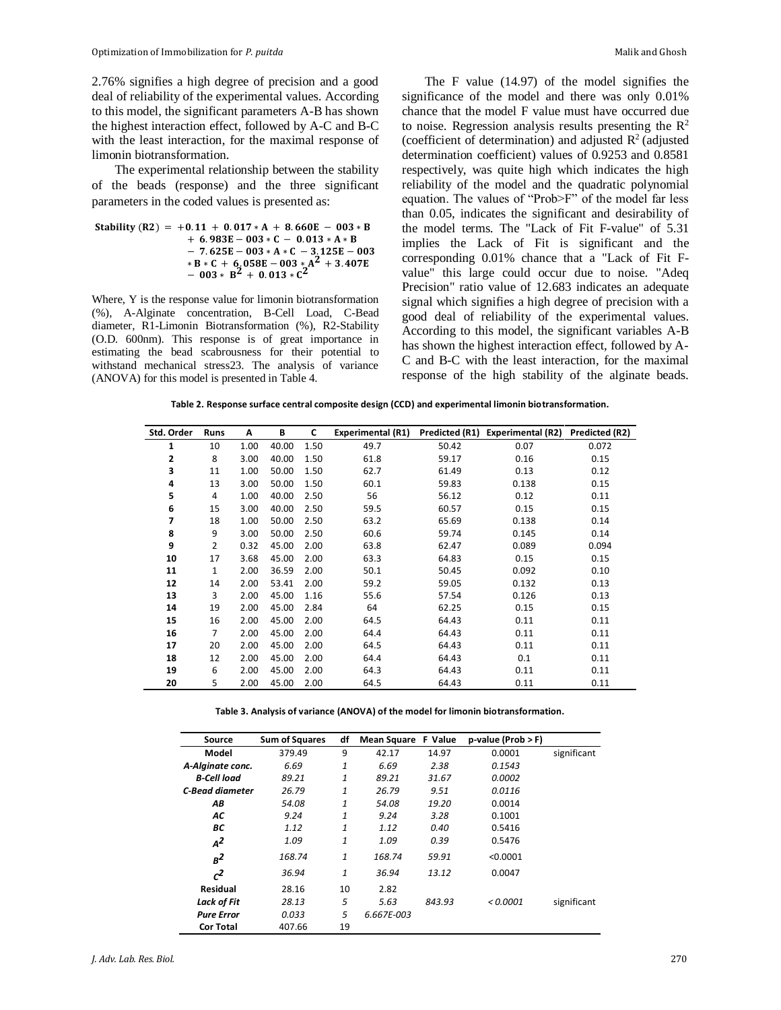2.76% signifies a high degree of precision and a good deal of reliability of the experimental values. According to this model, the significant parameters A-B has shown the highest interaction effect, followed by A-C and B-C with the least interaction, for the maximal response of limonin biotransformation.

The experimental relationship between the stability of the beads (response) and the three significant parameters in the coded values is presented as:

 () = +. + . ∗ + . − ∗ + . − ∗ − . ∗ ∗ − . − ∗ ∗ − . − ∗ ∗ + . − ∗ + . − ∗ + . ∗ 

Where, Y is the response value for limonin biotransformation (%), A-Alginate concentration, B-Cell Load, C-Bead diameter, R1-Limonin Biotransformation (%), R2-Stability (O.D. 600nm). This response is of great importance in estimating the bead scabrousness for their potential to withstand mechanical stress23. The analysis of variance (ANOVA) for this model is presented in Table 4.

The F value (14.97) of the model signifies the significance of the model and there was only 0.01% chance that the model F value must have occurred due to noise. Regression analysis results presenting the  $\mathbb{R}^2$ (coefficient of determination) and adjusted  $R^2$  (adjusted determination coefficient) values of 0.9253 and 0.8581 respectively, was quite high which indicates the high reliability of the model and the quadratic polynomial equation. The values of "Prob>F" of the model far less than 0.05, indicates the significant and desirability of the model terms. The "Lack of Fit F-value" of 5.31 implies the Lack of Fit is significant and the corresponding 0.01% chance that a "Lack of Fit Fvalue" this large could occur due to noise. "Adeq Precision" ratio value of 12.683 indicates an adequate signal which signifies a high degree of precision with a good deal of reliability of the experimental values. According to this model, the significant variables A-B has shown the highest interaction effect, followed by A-C and B-C with the least interaction, for the maximal response of the high stability of the alginate beads.

**Table 2. Response surface central composite design (CCD) and experimental limonin biotransformation.**

| Std. Order | Runs | Α    | В     | C    | <b>Experimental (R1)</b> |       | Predicted (R1) Experimental (R2) | Predicted (R2) |
|------------|------|------|-------|------|--------------------------|-------|----------------------------------|----------------|
| 1          | 10   | 1.00 | 40.00 | 1.50 | 49.7                     | 50.42 | 0.07                             | 0.072          |
| 2          | 8    | 3.00 | 40.00 | 1.50 | 61.8                     | 59.17 | 0.16                             | 0.15           |
| 3          | 11   | 1.00 | 50.00 | 1.50 | 62.7                     | 61.49 | 0.13                             | 0.12           |
| 4          | 13   | 3.00 | 50.00 | 1.50 | 60.1                     | 59.83 | 0.138                            | 0.15           |
| 5          | 4    | 1.00 | 40.00 | 2.50 | 56                       | 56.12 | 0.12                             | 0.11           |
| 6          | 15   | 3.00 | 40.00 | 2.50 | 59.5                     | 60.57 | 0.15                             | 0.15           |
| 7          | 18   | 1.00 | 50.00 | 2.50 | 63.2                     | 65.69 | 0.138                            | 0.14           |
| 8          | 9    | 3.00 | 50.00 | 2.50 | 60.6                     | 59.74 | 0.145                            | 0.14           |
| 9          | 2    | 0.32 | 45.00 | 2.00 | 63.8                     | 62.47 | 0.089                            | 0.094          |
| 10         | 17   | 3.68 | 45.00 | 2.00 | 63.3                     | 64.83 | 0.15                             | 0.15           |
| 11         | 1    | 2.00 | 36.59 | 2.00 | 50.1                     | 50.45 | 0.092                            | 0.10           |
| 12         | 14   | 2.00 | 53.41 | 2.00 | 59.2                     | 59.05 | 0.132                            | 0.13           |
| 13         | 3    | 2.00 | 45.00 | 1.16 | 55.6                     | 57.54 | 0.126                            | 0.13           |
| 14         | 19   | 2.00 | 45.00 | 2.84 | 64                       | 62.25 | 0.15                             | 0.15           |
| 15         | 16   | 2.00 | 45.00 | 2.00 | 64.5                     | 64.43 | 0.11                             | 0.11           |
| 16         | 7    | 2.00 | 45.00 | 2.00 | 64.4                     | 64.43 | 0.11                             | 0.11           |
| 17         | 20   | 2.00 | 45.00 | 2.00 | 64.5                     | 64.43 | 0.11                             | 0.11           |
| 18         | 12   | 2.00 | 45.00 | 2.00 | 64.4                     | 64.43 | 0.1                              | 0.11           |
| 19         | 6    | 2.00 | 45.00 | 2.00 | 64.3                     | 64.43 | 0.11                             | 0.11           |
| 20         | 5    | 2.00 | 45.00 | 2.00 | 64.5                     | 64.43 | 0.11                             | 0.11           |

**Table 3. Analysis of variance (ANOVA) of the model for limonin biotransformation.**

| Source             | <b>Sum of Squares</b> | df | <b>Mean Square</b> | F Value | $p-value (Prob > F)$ |             |
|--------------------|-----------------------|----|--------------------|---------|----------------------|-------------|
| Model              | 379.49                | 9  | 42.17              | 14.97   | 0.0001               | significant |
| A-Alginate conc.   | 6.69                  | 1  | 6.69               | 2.38    | 0.1543               |             |
| <b>B-Cell load</b> | 89.21                 | 1  | 89.21              | 31.67   | 0.0002               |             |
| C-Bead diameter    | 26.79                 | 1  | 26.79              | 9.51    | 0.0116               |             |
| AΒ                 | 54.08                 | 1  | 54.08              | 19.20   | 0.0014               |             |
| АC                 | 9.24                  | 1  | 9.24               | 3.28    | 0.1001               |             |
| BС                 | 1.12                  | 1  | 1.12               | 0.40    | 0.5416               |             |
| $A^2$              | 1.09                  | 1  | 1.09               | 0.39    | 0.5476               |             |
| $B^2$              | 168.74                | 1  | 168.74             | 59.91   | < 0.0001             |             |
| c <sup>2</sup>     | 36.94                 | 1  | 36.94              | 13.12   | 0.0047               |             |
| <b>Residual</b>    | 28.16                 | 10 | 2.82               |         |                      |             |
| Lack of Fit        | 28.13                 | 5  | 5.63               | 843.93  | < 0.0001             | significant |
| <b>Pure Error</b>  | 0.033                 | 5  | 6.667E-003         |         |                      |             |
| <b>Cor Total</b>   | 407.66                | 19 |                    |         |                      |             |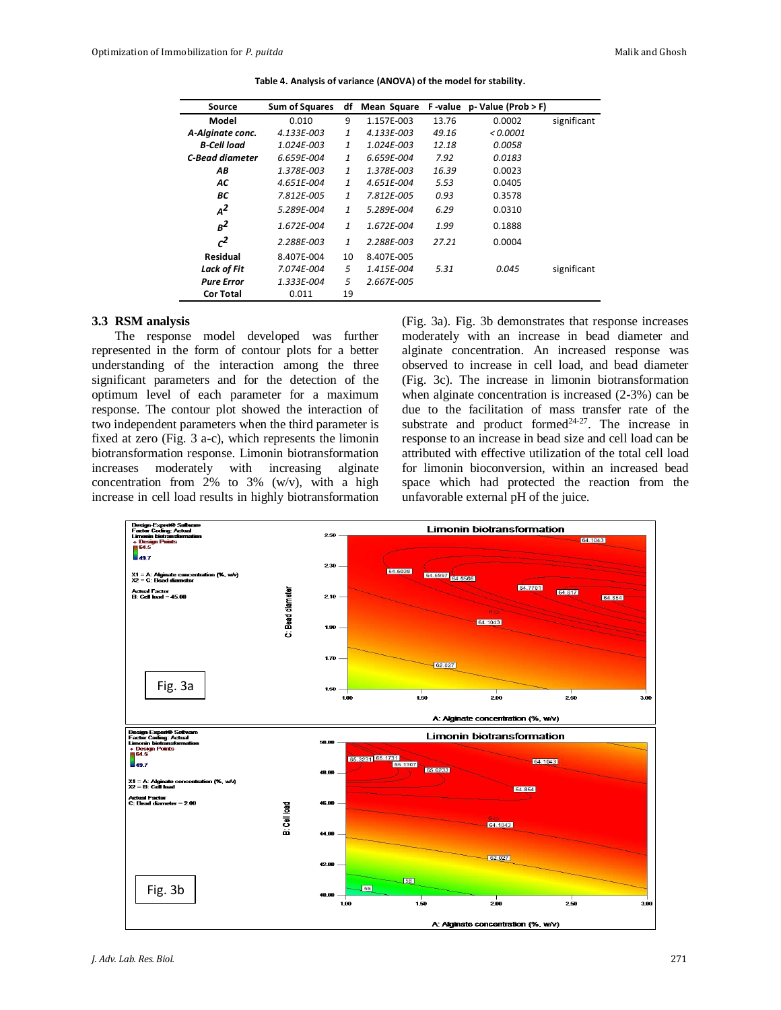| Source                 | <b>Sum of Squares</b> | df           | Mean Square |       | F-value p-Value (Prob > F) |             |
|------------------------|-----------------------|--------------|-------------|-------|----------------------------|-------------|
| Model                  | 0.010                 | 9            | 1.157E-003  | 13.76 | 0.0002                     | significant |
| A-Alginate conc.       | 4.133E-003            | 1            | 4.133E-003  | 49.16 | < 0.0001                   |             |
| <b>B-Cell load</b>     | 1.024E-003            | $\mathbf{1}$ | 1.024E-003  | 12.18 | 0.0058                     |             |
| <b>C-Bead diameter</b> | 6.659E-004            | 1            | 6.659E-004  | 7.92  | 0.0183                     |             |
| AB                     | 1.378E-003            | $\mathbf{1}$ | 1.378E-003  | 16.39 | 0.0023                     |             |
| AC                     | 4.651E-004            | 1            | 4.651E-004  | 5.53  | 0.0405                     |             |
| BС                     | 7.812E-005            | $\mathbf{1}$ | 7.812E-005  | 0.93  | 0.3578                     |             |
| $A^2$                  | 5.289E-004            | $\mathbf{1}$ | 5.289E-004  | 6.29  | 0.0310                     |             |
| $B^2$                  | 1.672E-004            | 1            | 1.672E-004  | 1.99  | 0.1888                     |             |
| c <sup>2</sup>         | 2.288E-003            | 1            | 2.288E-003  | 27.21 | 0.0004                     |             |
| Residual               | 8.407E-004            | 10           | 8.407E-005  |       |                            |             |
| Lack of Fit            | 7.074E-004            | 5            | 1.415E-004  | 5.31  | 0.045                      | significant |
| <b>Pure Error</b>      | 1.333E-004            | 5            | 2.667E-005  |       |                            |             |
| <b>Cor Total</b>       | 0.011                 | 19           |             |       |                            |             |

**Table 4. Analysis of variance (ANOVA) of the model for stability.**

### **3.3 RSM analysis**

The response model developed was further represented in the form of contour plots for a better understanding of the interaction among the three significant parameters and for the detection of the optimum level of each parameter for a maximum response. The contour plot showed the interaction of two independent parameters when the third parameter is fixed at zero (Fig. 3 a-c), which represents the limonin biotransformation response. Limonin biotransformation increases moderately with increasing alginate concentration from 2% to 3% (w/v), with a high increase in cell load results in highly biotransformation

(Fig. 3a). Fig. 3b demonstrates that response increases moderately with an increase in bead diameter and alginate concentration. An increased response was observed to increase in cell load, and bead diameter (Fig. 3c). The increase in limonin biotransformation when alginate concentration is increased (2-3%) can be due to the facilitation of mass transfer rate of the substrate and product formed $24-27$ . The increase in response to an increase in bead size and cell load can be attributed with effective utilization of the total cell load for limonin bioconversion, within an increased bead space which had protected the reaction from the unfavorable external pH of the juice.

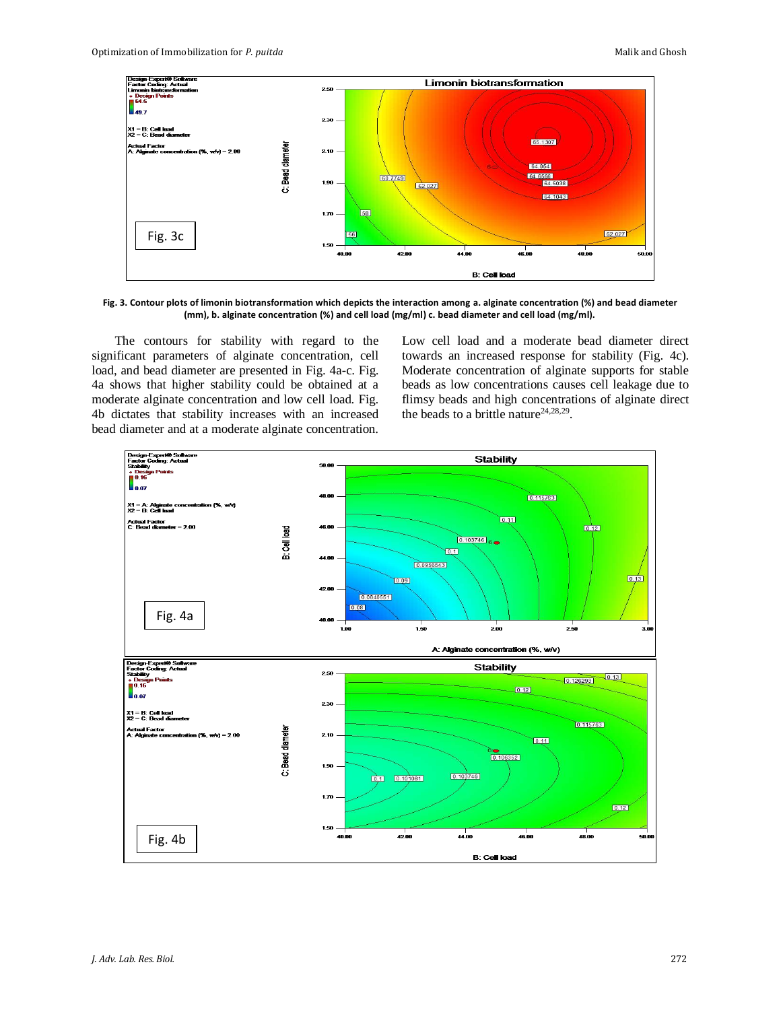

**Fig. 3. Contour plots of limonin biotransformation which depicts the interaction among a. alginate concentration (%) and bead diameter (mm), b. alginate concentration (%) and cell load (mg/ml) c. bead diameter and cell load (mg/ml).**

The contours for stability with regard to the significant parameters of alginate concentration, cell load, and bead diameter are presented in Fig. 4a-c. Fig. 4a shows that higher stability could be obtained at a moderate alginate concentration and low cell load. Fig. 4b dictates that stability increases with an increased bead diameter and at a moderate alginate concentration. Low cell load and a moderate bead diameter direct towards an increased response for stability (Fig. 4c). Moderate concentration of alginate supports for stable beads as low concentrations causes cell leakage due to flimsy beads and high concentrations of alginate direct the beads to a brittle nature<sup>24,28,29</sup>.

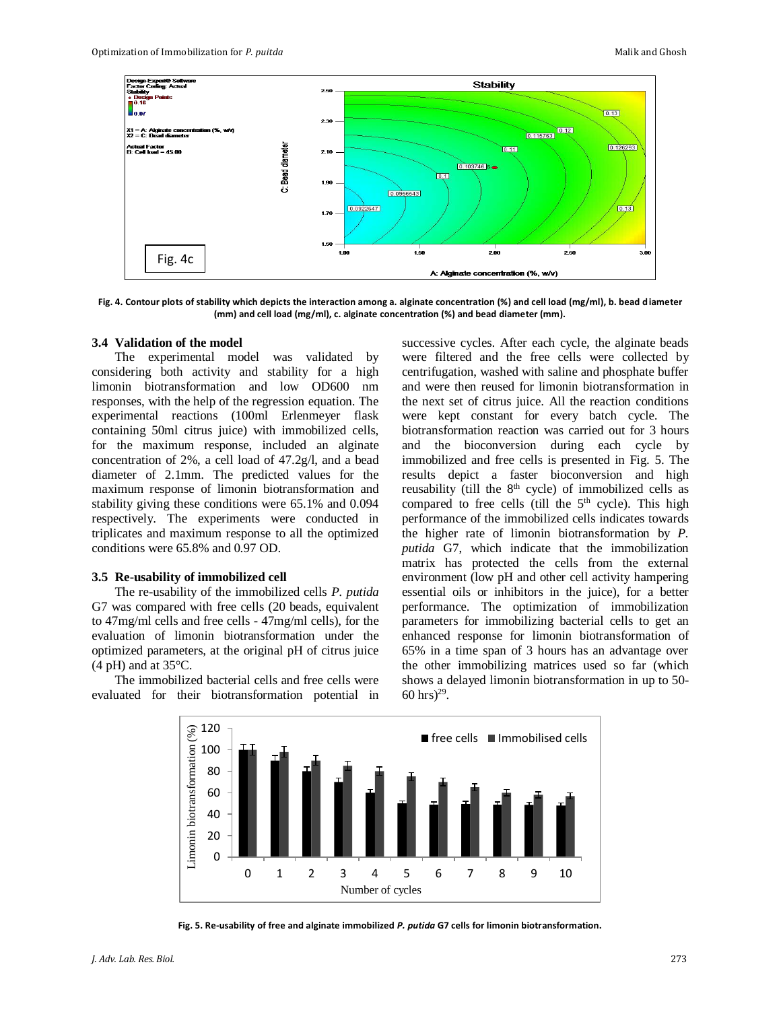

**Fig. 4. Contour plots of stability which depicts the interaction among a. alginate concentration (%) and cell load (mg/ml), b. bead diameter (mm) and cell load (mg/ml), c. alginate concentration (%) and bead diameter (mm).**

#### **3.4 Validation of the model**

The experimental model was validated by considering both activity and stability for a high limonin biotransformation and low OD600 nm responses, with the help of the regression equation. The experimental reactions (100ml Erlenmeyer flask containing 50ml citrus juice) with immobilized cells, for the maximum response, included an alginate concentration of 2%, a cell load of 47.2g/l, and a bead diameter of 2.1mm. The predicted values for the maximum response of limonin biotransformation and stability giving these conditions were 65.1% and 0.094 respectively. The experiments were conducted in triplicates and maximum response to all the optimized conditions were 65.8% and 0.97 OD.

#### **3.5 Re-usability of immobilized cell**

The re-usability of the immobilized cells *P. putida* G7 was compared with free cells (20 beads, equivalent to 47mg/ml cells and free cells - 47mg/ml cells), for the evaluation of limonin biotransformation under the optimized parameters, at the original pH of citrus juice  $(4 \text{ pH})$  and at 35 $\degree$ C.

The immobilized bacterial cells and free cells were evaluated for their biotransformation potential in successive cycles. After each cycle, the alginate beads were filtered and the free cells were collected by centrifugation, washed with saline and phosphate buffer and were then reused for limonin biotransformation in the next set of citrus juice. All the reaction conditions were kept constant for every batch cycle. The biotransformation reaction was carried out for 3 hours and the bioconversion during each cycle by immobilized and free cells is presented in Fig. 5. The results depict a faster bioconversion and high reusability (till the  $8<sup>th</sup>$  cycle) of immobilized cells as compared to free cells (till the  $5<sup>th</sup>$  cycle). This high performance of the immobilized cells indicates towards the higher rate of limonin biotransformation by *P. putida* G7, which indicate that the immobilization matrix has protected the cells from the external environment (low pH and other cell activity hampering essential oils or inhibitors in the juice), for a better performance. The optimization of immobilization parameters for immobilizing bacterial cells to get an enhanced response for limonin biotransformation of 65% in a time span of 3 hours has an advantage over the other immobilizing matrices used so far (which shows a delayed limonin biotransformation in up to 50-  $60 \text{ hrs}$ <sup>29</sup>.



**Fig. 5. Re-usability of free and alginate immobilized** *P. putida* **G7 cells for limonin biotransformation.**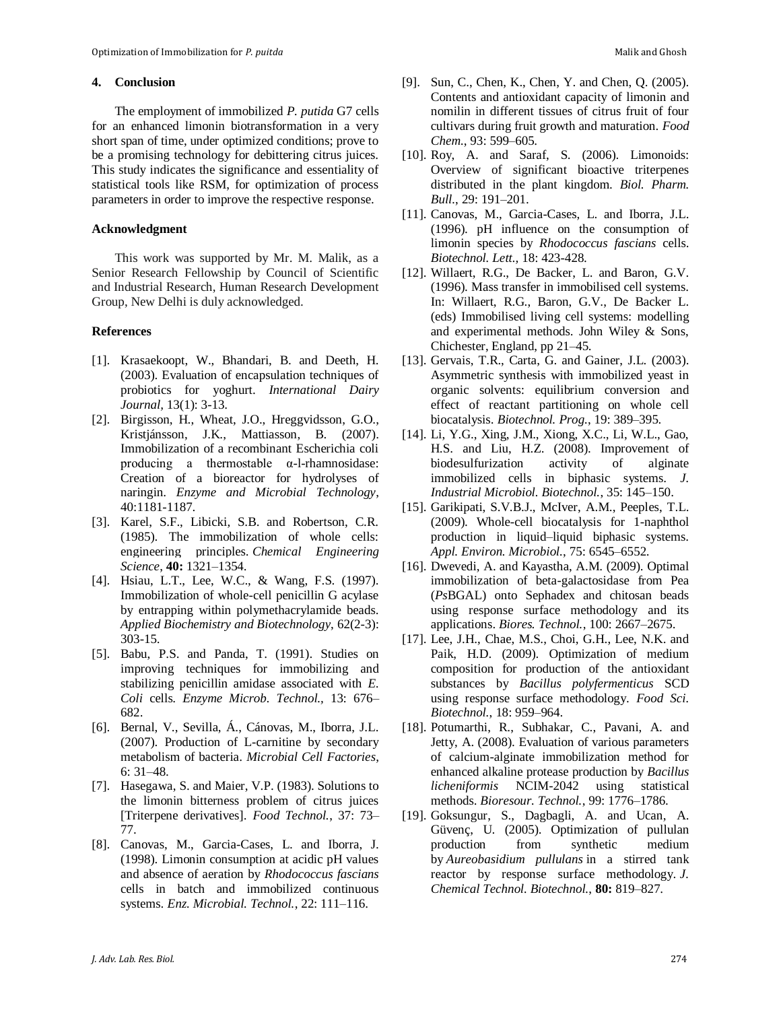### **4. Conclusion**

The employment of immobilized *P. putida* G7 cells for an enhanced limonin biotransformation in a very short span of time, under optimized conditions; prove to be a promising technology for debittering citrus juices. This study indicates the significance and essentiality of statistical tools like RSM, for optimization of process parameters in order to improve the respective response.

### **Acknowledgment**

This work was supported by Mr. M. Malik, as a Senior Research Fellowship by Council of Scientific and Industrial Research, Human Research Development Group, New Delhi is duly acknowledged.

### **References**

- [1]. Krasaekoopt, W., Bhandari, B. and Deeth, H. (2003). Evaluation of encapsulation techniques of probiotics for yoghurt. *International Dairy Journal,* 13(1): 3-13.
- [2]. Birgisson, H., Wheat, J.O., Hreggvidsson, G.O., Kristjánsson, J.K., Mattiasson, B. (2007). Immobilization of a recombinant Escherichia coli producing a thermostable α-l-rhamnosidase: Creation of a bioreactor for hydrolyses of naringin. *Enzyme and Microbial Technology*, 40:1181-1187.
- [3]. Karel, S.F., Libicki, S.B. and Robertson, C.R. (1985). The immobilization of whole cells: engineering principles. *Chemical Engineering Science*, **40:** 1321–1354.
- [4]. Hsiau, L.T., Lee, W.C., & Wang, F.S. (1997). Immobilization of whole-cell penicillin G acylase by entrapping within polymethacrylamide beads. *Applied Biochemistry and Biotechnology*, 62(2-3): 303-15.
- [5]. Babu, P.S. and Panda, T. (1991). Studies on improving techniques for immobilizing and stabilizing penicillin amidase associated with *E. Coli* cells. *Enzyme Microb. Technol.,* 13: 676– 682.
- [6]. Bernal, V., Sevilla, Á., Cánovas, M., Iborra, J.L. (2007). Production of L-carnitine by secondary metabolism of bacteria. *Microbial Cell Factories*, 6: 31–48.
- [7]. Hasegawa, S. and Maier, V.P. (1983). Solutions to the limonin bitterness problem of citrus juices [Triterpene derivatives]. *Food Technol.*, 37: 73– 77.
- [8]. Canovas, M., Garcia-Cases, L. and Iborra, J. (1998). Limonin consumption at acidic pH values and absence of aeration by *Rhodococcus fascians* cells in batch and immobilized continuous systems. *Enz. Microbial. Technol.*, 22: 111–116.
- [9]. Sun, C., Chen, K., Chen, Y. and Chen, Q. (2005). Contents and antioxidant capacity of limonin and nomilin in different tissues of citrus fruit of four cultivars during fruit growth and maturation. *Food Chem.*, 93: 599–605.
- [10]. Roy, A. and Saraf, S. (2006). Limonoids: Overview of significant bioactive triterpenes distributed in the plant kingdom. *Biol. Pharm. Bull.*, 29: 191–201.
- [11]. Canovas, M., Garcia-Cases, L. and Iborra, J.L. (1996). pH influence on the consumption of limonin species by *Rhodococcus fascians* cells. *Biotechnol. Lett.,* 18: 423-428.
- [12]. Willaert, R.G., De Backer, L. and Baron, G.V. (1996). Mass transfer in immobilised cell systems. In: Willaert, R.G., Baron, G.V., De Backer L. (eds) Immobilised living cell systems: modelling and experimental methods. John Wiley & Sons, Chichester, England, pp 21–45.
- [13]. Gervais, T.R., Carta, G. and Gainer, J.L. (2003). Asymmetric synthesis with immobilized yeast in organic solvents: equilibrium conversion and effect of reactant partitioning on whole cell biocatalysis. *Biotechnol. Prog.*, 19: 389–395.
- [14]. Li, Y.G., Xing, J.M., Xiong, X.C., Li, W.L., Gao, H.S. and Liu, H.Z. (2008). Improvement of biodesulfurization activity of alginate immobilized cells in biphasic systems. *J. Industrial Microbiol. Biotechnol.*, 35: 145–150.
- [15]. Garikipati, S.V.B.J., McIver, A.M., Peeples, T.L. (2009). Whole-cell biocatalysis for 1-naphthol production in liquid–liquid biphasic systems. *Appl. Environ. Microbiol.*, 75: 6545–6552.
- [16]. Dwevedi, A. and Kayastha, A.M. (2009). Optimal immobilization of beta-galactosidase from Pea (*Ps*BGAL) onto Sephadex and chitosan beads using response surface methodology and its applications. *Biores. Technol.*, 100: 2667–2675.
- [17]. Lee, J.H., Chae, M.S., Choi, G.H., Lee, N.K. and Paik, H.D. (2009). Optimization of medium composition for production of the antioxidant substances by *Bacillus polyfermenticus* SCD using response surface methodology. *Food Sci. Biotechnol.*, 18: 959–964.
- [18]. Potumarthi, R., Subhakar, C., Pavani, A. and Jetty, A. (2008). Evaluation of various parameters of calcium-alginate immobilization method for enhanced alkaline protease production by *Bacillus licheniformis* NCIM-2042 using statistical methods. *Bioresour. Technol.*, 99: 1776–1786.
- [19]. Goksungur, S., Dagbagli, A. and Ucan, A. Güvenç, U. (2005). Optimization of pullulan production from synthetic medium by *Aureobasidium pullulans* in a stirred tank reactor by response surface methodology. *J. Chemical Technol. Biotechnol.*, **80:** 819–827.